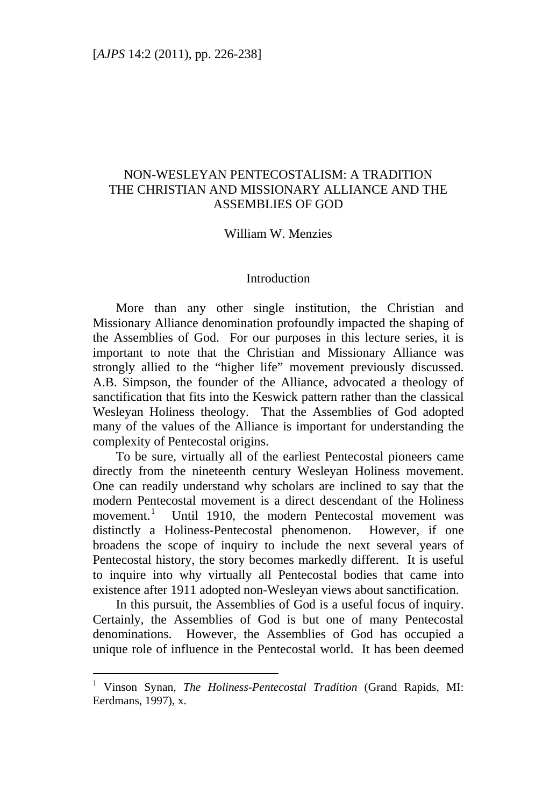# NON-WESLEYAN PENTECOSTALISM: A TRADITION THE CHRISTIAN AND MISSIONARY ALLIANCE AND THE ASSEMBLIES OF GOD

#### William W. Menzies

#### Introduction

More than any other single institution, the Christian and Missionary Alliance denomination profoundly impacted the shaping of the Assemblies of God. For our purposes in this lecture series, it is important to note that the Christian and Missionary Alliance was strongly allied to the "higher life" movement previously discussed. A.B. Simpson, the founder of the Alliance, advocated a theology of sanctification that fits into the Keswick pattern rather than the classical Wesleyan Holiness theology. That the Assemblies of God adopted many of the values of the Alliance is important for understanding the complexity of Pentecostal origins.

To be sure, virtually all of the earliest Pentecostal pioneers came directly from the nineteenth century Wesleyan Holiness movement. One can readily understand why scholars are inclined to say that the modern Pentecostal movement is a direct descendant of the Holiness movement.<sup>[1](#page-0-0)</sup> Until 1910, the modern Pentecostal movement was distinctly a Holiness-Pentecostal phenomenon. However, if one broadens the scope of inquiry to include the next several years of Pentecostal history, the story becomes markedly different. It is useful to inquire into why virtually all Pentecostal bodies that came into existence after 1911 adopted non-Wesleyan views about sanctification.

In this pursuit, the Assemblies of God is a useful focus of inquiry. Certainly, the Assemblies of God is but one of many Pentecostal denominations. However, the Assemblies of God has occupied a unique role of influence in the Pentecostal world. It has been deemed

<span id="page-0-0"></span><sup>&</sup>lt;sup>1</sup> Vinson Synan, *The Holiness-Pentecostal Tradition* (Grand Rapids, MI: Eerdmans, 1997), x.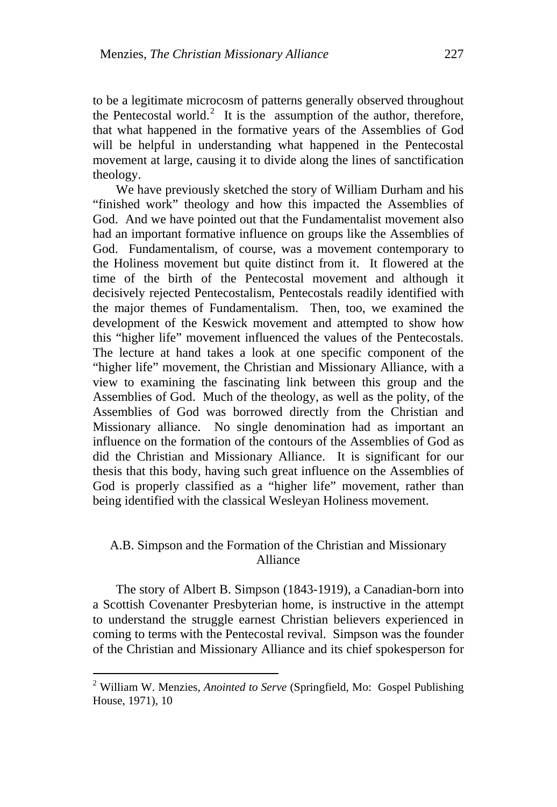to be a legitimate microcosm of patterns generally observed throughout the Pentecostal world.<sup>[2](#page-1-0)</sup> It is the assumption of the author, therefore, that what happened in the formative years of the Assemblies of God will be helpful in understanding what happened in the Pentecostal movement at large, causing it to divide along the lines of sanctification theology.

We have previously sketched the story of William Durham and his "finished work" theology and how this impacted the Assemblies of God. And we have pointed out that the Fundamentalist movement also had an important formative influence on groups like the Assemblies of God. Fundamentalism, of course, was a movement contemporary to the Holiness movement but quite distinct from it. It flowered at the time of the birth of the Pentecostal movement and although it decisively rejected Pentecostalism, Pentecostals readily identified with the major themes of Fundamentalism. Then, too, we examined the development of the Keswick movement and attempted to show how this "higher life" movement influenced the values of the Pentecostals. The lecture at hand takes a look at one specific component of the "higher life" movement, the Christian and Missionary Alliance, with a view to examining the fascinating link between this group and the Assemblies of God. Much of the theology, as well as the polity, of the Assemblies of God was borrowed directly from the Christian and Missionary alliance. No single denomination had as important an influence on the formation of the contours of the Assemblies of God as did the Christian and Missionary Alliance. It is significant for our thesis that this body, having such great influence on the Assemblies of God is properly classified as a "higher life" movement, rather than being identified with the classical Wesleyan Holiness movement.

# A.B. Simpson and the Formation of the Christian and Missionary Alliance

The story of Albert B. Simpson (1843-1919), a Canadian-born into a Scottish Covenanter Presbyterian home, is instructive in the attempt to understand the struggle earnest Christian believers experienced in coming to terms with the Pentecostal revival. Simpson was the founder of the Christian and Missionary Alliance and its chief spokesperson for

<span id="page-1-0"></span><sup>2</sup> William W. Menzies, *Anointed to Serve* (Springfield, Mo: Gospel Publishing House, 1971), 10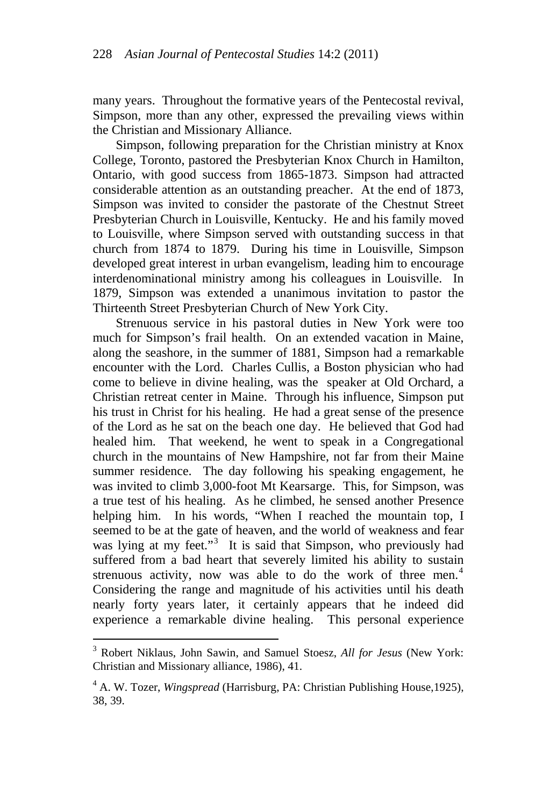many years. Throughout the formative years of the Pentecostal revival, Simpson, more than any other, expressed the prevailing views within the Christian and Missionary Alliance.

Simpson, following preparation for the Christian ministry at Knox College, Toronto, pastored the Presbyterian Knox Church in Hamilton, Ontario, with good success from 1865-1873. Simpson had attracted considerable attention as an outstanding preacher. At the end of 1873, Simpson was invited to consider the pastorate of the Chestnut Street Presbyterian Church in Louisville, Kentucky. He and his family moved to Louisville, where Simpson served with outstanding success in that church from 1874 to 1879. During his time in Louisville, Simpson developed great interest in urban evangelism, leading him to encourage interdenominational ministry among his colleagues in Louisville. In 1879, Simpson was extended a unanimous invitation to pastor the Thirteenth Street Presbyterian Church of New York City.

Strenuous service in his pastoral duties in New York were too much for Simpson's frail health. On an extended vacation in Maine, along the seashore, in the summer of 1881, Simpson had a remarkable encounter with the Lord. Charles Cullis, a Boston physician who had come to believe in divine healing, was the speaker at Old Orchard, a Christian retreat center in Maine. Through his influence, Simpson put his trust in Christ for his healing. He had a great sense of the presence of the Lord as he sat on the beach one day. He believed that God had healed him. That weekend, he went to speak in a Congregational church in the mountains of New Hampshire, not far from their Maine summer residence. The day following his speaking engagement, he was invited to climb 3,000-foot Mt Kearsarge. This, for Simpson, was a true test of his healing. As he climbed, he sensed another Presence helping him. In his words, "When I reached the mountain top, I seemed to be at the gate of heaven, and the world of weakness and fear was lying at my feet."<sup>[3](#page-2-0)</sup> It is said that Simpson, who previously had suffered from a bad heart that severely limited his ability to sustain strenuous activity, now was able to do the work of three men.<sup>[4](#page-2-1)</sup> Considering the range and magnitude of his activities until his death nearly forty years later, it certainly appears that he indeed did experience a remarkable divine healing. This personal experience

<span id="page-2-0"></span> 3 Robert Niklaus, John Sawin, and Samuel Stoesz, *All for Jesus* (New York: Christian and Missionary alliance, 1986), 41.

<span id="page-2-1"></span><sup>&</sup>lt;sup>4</sup> A. W. Tozer, *Wingspread* (Harrisburg, PA: Christian Publishing House, 1925), 38, 39.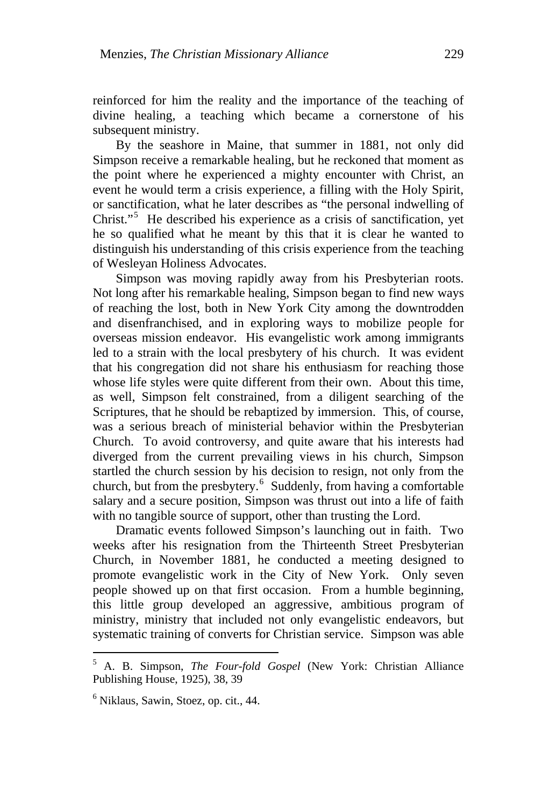reinforced for him the reality and the importance of the teaching of divine healing, a teaching which became a cornerstone of his subsequent ministry.

By the seashore in Maine, that summer in 1881, not only did Simpson receive a remarkable healing, but he reckoned that moment as the point where he experienced a mighty encounter with Christ, an event he would term a crisis experience, a filling with the Holy Spirit, or sanctification, what he later describes as "the personal indwelling of Christ."<sup>[5](#page-3-0)</sup> He described his experience as a crisis of sanctification, yet he so qualified what he meant by this that it is clear he wanted to distinguish his understanding of this crisis experience from the teaching of Wesleyan Holiness Advocates.

Simpson was moving rapidly away from his Presbyterian roots. Not long after his remarkable healing, Simpson began to find new ways of reaching the lost, both in New York City among the downtrodden and disenfranchised, and in exploring ways to mobilize people for overseas mission endeavor. His evangelistic work among immigrants led to a strain with the local presbytery of his church. It was evident that his congregation did not share his enthusiasm for reaching those whose life styles were quite different from their own. About this time, as well, Simpson felt constrained, from a diligent searching of the Scriptures, that he should be rebaptized by immersion. This, of course, was a serious breach of ministerial behavior within the Presbyterian Church. To avoid controversy, and quite aware that his interests had diverged from the current prevailing views in his church, Simpson startled the church session by his decision to resign, not only from the church, but from the presbytery.<sup>[6](#page-3-1)</sup> Suddenly, from having a comfortable salary and a secure position, Simpson was thrust out into a life of faith with no tangible source of support, other than trusting the Lord.

Dramatic events followed Simpson's launching out in faith. Two weeks after his resignation from the Thirteenth Street Presbyterian Church, in November 1881, he conducted a meeting designed to promote evangelistic work in the City of New York. Only seven people showed up on that first occasion. From a humble beginning, this little group developed an aggressive, ambitious program of ministry, ministry that included not only evangelistic endeavors, but systematic training of converts for Christian service. Simpson was able

<span id="page-3-0"></span><sup>5</sup> A. B. Simpson, *The Four-fold Gospel* (New York: Christian Alliance Publishing House, 1925), 38, 39

<span id="page-3-1"></span><sup>6</sup> Niklaus, Sawin, Stoez, op. cit., 44.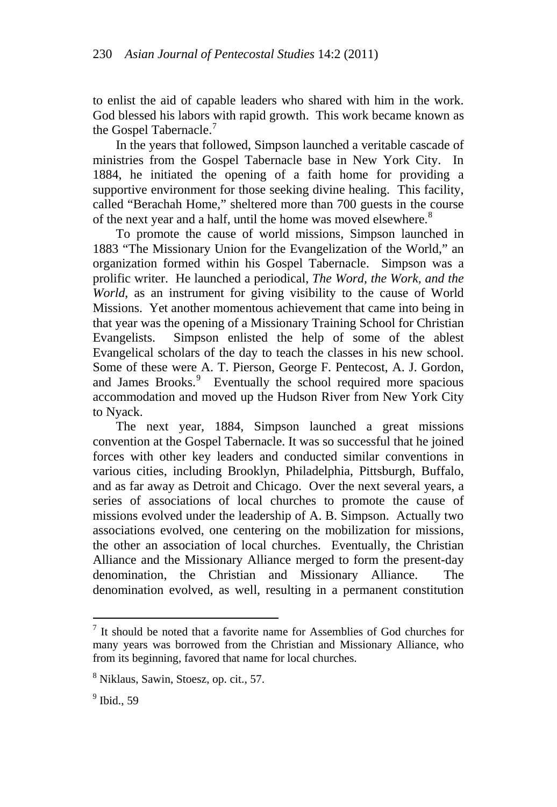to enlist the aid of capable leaders who shared with him in the work. God blessed his labors with rapid growth. This work became known as the Gospel Tabernacle.<sup>[7](#page-4-0)</sup>

In the years that followed, Simpson launched a veritable cascade of ministries from the Gospel Tabernacle base in New York City. In 1884, he initiated the opening of a faith home for providing a supportive environment for those seeking divine healing. This facility, called "Berachah Home," sheltered more than 700 guests in the course of the next year and a half, until the home was moved elsewhere.<sup>[8](#page-4-1)</sup>

To promote the cause of world missions, Simpson launched in 1883 "The Missionary Union for the Evangelization of the World," an organization formed within his Gospel Tabernacle. Simpson was a prolific writer. He launched a periodical, *The Word, the Work, and the World*, as an instrument for giving visibility to the cause of World Missions. Yet another momentous achievement that came into being in that year was the opening of a Missionary Training School for Christian Evangelists. Simpson enlisted the help of some of the ablest Evangelical scholars of the day to teach the classes in his new school. Some of these were A. T. Pierson, George F. Pentecost, A. J. Gordon, and James Brooks.<sup>[9](#page-4-2)</sup> Eventually the school required more spacious accommodation and moved up the Hudson River from New York City to Nyack.

The next year, 1884, Simpson launched a great missions convention at the Gospel Tabernacle. It was so successful that he joined forces with other key leaders and conducted similar conventions in various cities, including Brooklyn, Philadelphia, Pittsburgh, Buffalo, and as far away as Detroit and Chicago. Over the next several years, a series of associations of local churches to promote the cause of missions evolved under the leadership of A. B. Simpson. Actually two associations evolved, one centering on the mobilization for missions, the other an association of local churches. Eventually, the Christian Alliance and the Missionary Alliance merged to form the present-day denomination, the Christian and Missionary Alliance. The denomination evolved, as well, resulting in a permanent constitution

<span id="page-4-0"></span> 7 It should be noted that a favorite name for Assemblies of God churches for many years was borrowed from the Christian and Missionary Alliance, who from its beginning, favored that name for local churches.

<span id="page-4-1"></span><sup>8</sup> Niklaus, Sawin, Stoesz, op. cit., 57.

<span id="page-4-2"></span><sup>9</sup> Ibid., 59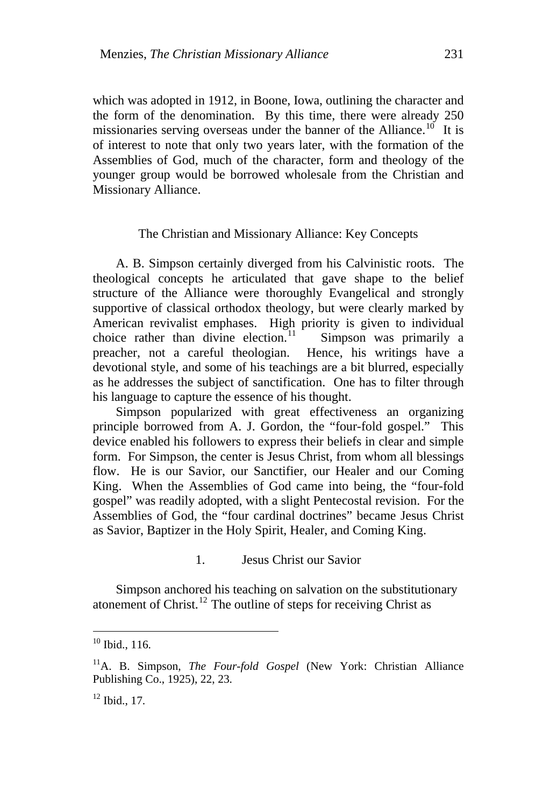which was adopted in 1912, in Boone, Iowa, outlining the character and the form of the denomination. By this time, there were already 250 missionaries serving overseas under the banner of the Alliance.<sup>[10](#page-5-0)</sup> It is of interest to note that only two years later, with the formation of the Assemblies of God, much of the character, form and theology of the younger group would be borrowed wholesale from the Christian and Missionary Alliance.

#### The Christian and Missionary Alliance: Key Concepts

A. B. Simpson certainly diverged from his Calvinistic roots. The theological concepts he articulated that gave shape to the belief structure of the Alliance were thoroughly Evangelical and strongly supportive of classical orthodox theology, but were clearly marked by American revivalist emphases. High priority is given to individual choice rather than divine election.<sup>11</sup> Simpson was primarily a choice rather than divine election.<sup>[11](#page-5-1)</sup> preacher, not a careful theologian. Hence, his writings have a devotional style, and some of his teachings are a bit blurred, especially as he addresses the subject of sanctification. One has to filter through his language to capture the essence of his thought.

Simpson popularized with great effectiveness an organizing principle borrowed from A. J. Gordon, the "four-fold gospel." This device enabled his followers to express their beliefs in clear and simple form. For Simpson, the center is Jesus Christ, from whom all blessings flow. He is our Savior, our Sanctifier, our Healer and our Coming King. When the Assemblies of God came into being, the "four-fold gospel" was readily adopted, with a slight Pentecostal revision. For the Assemblies of God, the "four cardinal doctrines" became Jesus Christ as Savior, Baptizer in the Holy Spirit, Healer, and Coming King.

1. Jesus Christ our Savior

Simpson anchored his teaching on salvation on the substitutionary atonement of Christ.<sup>[12](#page-5-2)</sup> The outline of steps for receiving Christ as

<span id="page-5-0"></span> $10$  Ibid., 116.

<span id="page-5-1"></span><sup>11</sup>A. B. Simpson, *The Four-fold Gospel* (New York: Christian Alliance Publishing Co., 1925), 22, 23.

<span id="page-5-2"></span> $12$  Ibid., 17.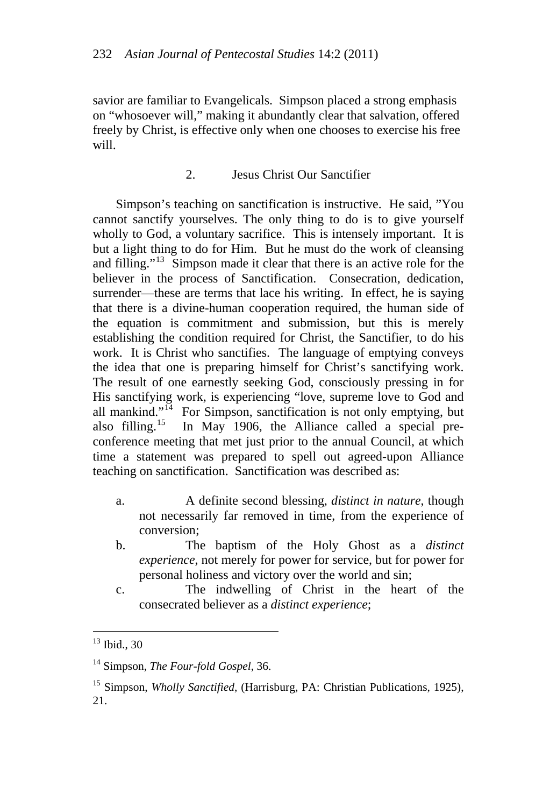savior are familiar to Evangelicals. Simpson placed a strong emphasis on "whosoever will," making it abundantly clear that salvation, offered freely by Christ, is effective only when one chooses to exercise his free will.

# 2. Jesus Christ Our Sanctifier

Simpson's teaching on sanctification is instructive. He said, "You cannot sanctify yourselves. The only thing to do is to give yourself wholly to God, a voluntary sacrifice. This is intensely important. It is but a light thing to do for Him. But he must do the work of cleansing and filling."<sup>[13](#page-6-0)</sup> Simpson made it clear that there is an active role for the believer in the process of Sanctification. Consecration, dedication, surrender—these are terms that lace his writing. In effect, he is saying that there is a divine-human cooperation required, the human side of the equation is commitment and submission, but this is merely establishing the condition required for Christ, the Sanctifier, to do his work. It is Christ who sanctifies. The language of emptying conveys the idea that one is preparing himself for Christ's sanctifying work. The result of one earnestly seeking God, consciously pressing in for His sanctifying work, is experiencing "love, supreme love to God and all mankind."<sup>[14](#page-6-1)</sup> For Simpson, sanctification is not only emptying, but also filling.<sup>[15](#page-6-2)</sup> In May 1906, the Alliance called a special preconference meeting that met just prior to the annual Council, at which time a statement was prepared to spell out agreed-upon Alliance teaching on sanctification. Sanctification was described as:

- a. A definite second blessing, *distinct in nature*, though not necessarily far removed in time, from the experience of conversion;
- b. The baptism of the Holy Ghost as a *distinct experience*, not merely for power for service, but for power for personal holiness and victory over the world and sin;
- c. The indwelling of Christ in the heart of the consecrated believer as a *distinct experience*;

<span id="page-6-0"></span> $13$  Ibid., 30

<span id="page-6-1"></span><sup>14</sup> Simpson, *The Four-fold Gospel*, 36.

<span id="page-6-2"></span><sup>&</sup>lt;sup>15</sup> Simpson, *Wholly Sanctified*, (Harrisburg, PA: Christian Publications, 1925), 21.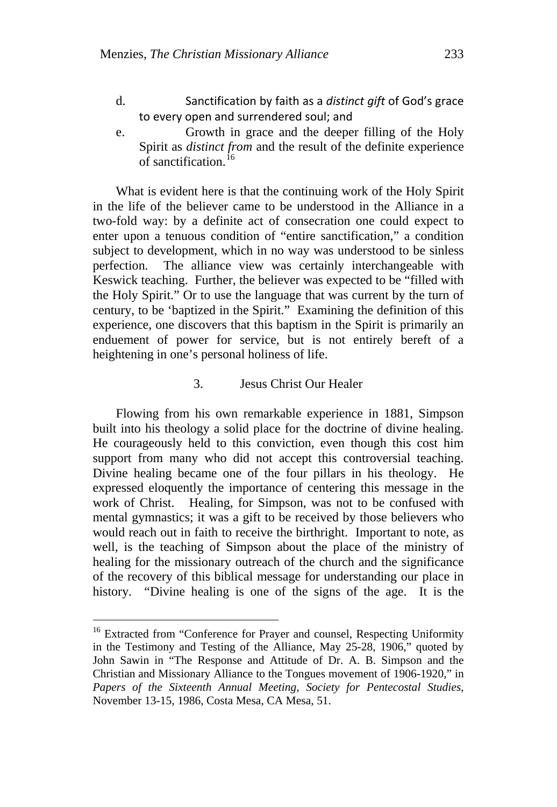- d. Sanctification by faith as a *distinct gift* of God's grace to every open and surrendered soul; and
- e. Growth in grace and the deeper filling of the Holy Spirit as *distinct from* and the result of the definite experience of sanctification.<sup>[16](#page-7-0)</sup>

What is evident here is that the continuing work of the Holy Spirit in the life of the believer came to be understood in the Alliance in a two-fold way: by a definite act of consecration one could expect to enter upon a tenuous condition of "entire sanctification," a condition subject to development, which in no way was understood to be sinless perfection. The alliance view was certainly interchangeable with Keswick teaching. Further, the believer was expected to be "filled with the Holy Spirit." Or to use the language that was current by the turn of century, to be 'baptized in the Spirit." Examining the definition of this experience, one discovers that this baptism in the Spirit is primarily an enduement of power for service, but is not entirely bereft of a heightening in one's personal holiness of life.

### 3. Jesus Christ Our Healer

Flowing from his own remarkable experience in 1881, Simpson built into his theology a solid place for the doctrine of divine healing. He courageously held to this conviction, even though this cost him support from many who did not accept this controversial teaching. Divine healing became one of the four pillars in his theology. He expressed eloquently the importance of centering this message in the work of Christ. Healing, for Simpson, was not to be confused with mental gymnastics; it was a gift to be received by those believers who would reach out in faith to receive the birthright. Important to note, as well, is the teaching of Simpson about the place of the ministry of healing for the missionary outreach of the church and the significance of the recovery of this biblical message for understanding our place in history. "Divine healing is one of the signs of the age. It is the

<span id="page-7-0"></span><sup>&</sup>lt;sup>16</sup> Extracted from "Conference for Prayer and counsel, Respecting Uniformity in the Testimony and Testing of the Alliance, May 25-28, 1906," quoted by John Sawin in "The Response and Attitude of Dr. A. B. Simpson and the Christian and Missionary Alliance to the Tongues movement of 1906-1920," in *Papers of the Sixteenth Annual Meeting, Society for Pentecostal Studies*, November 13-15, 1986, Costa Mesa, CA Mesa, 51.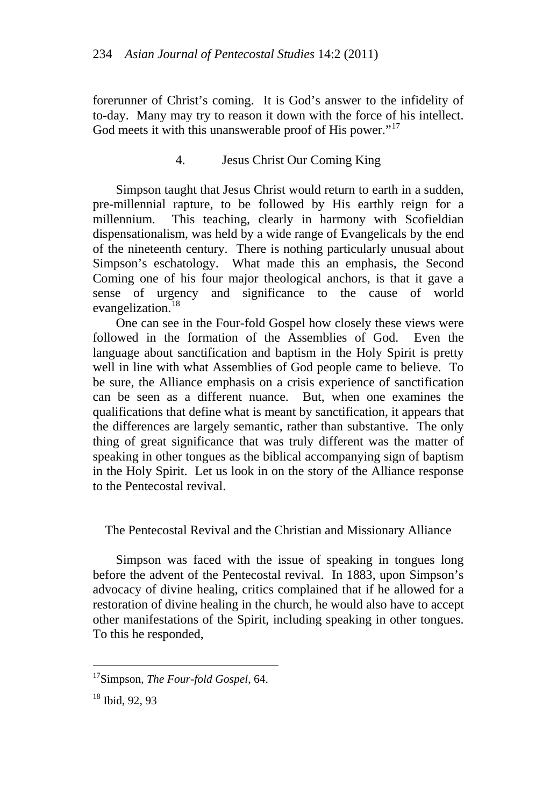forerunner of Christ's coming. It is God's answer to the infidelity of to-day. Many may try to reason it down with the force of his intellect. God meets it with this unanswerable proof of His power."<sup>[17](#page-8-0)</sup>

## 4. Jesus Christ Our Coming King

Simpson taught that Jesus Christ would return to earth in a sudden, pre-millennial rapture, to be followed by His earthly reign for a millennium. This teaching, clearly in harmony with Scofieldian dispensationalism, was held by a wide range of Evangelicals by the end of the nineteenth century. There is nothing particularly unusual about Simpson's eschatology. What made this an emphasis, the Second Coming one of his four major theological anchors, is that it gave a sense of urgency and significance to the cause of world evangelization.<sup>[18](#page-8-1)</sup>

One can see in the Four-fold Gospel how closely these views were followed in the formation of the Assemblies of God. Even the language about sanctification and baptism in the Holy Spirit is pretty well in line with what Assemblies of God people came to believe. To be sure, the Alliance emphasis on a crisis experience of sanctification can be seen as a different nuance. But, when one examines the qualifications that define what is meant by sanctification, it appears that the differences are largely semantic, rather than substantive. The only thing of great significance that was truly different was the matter of speaking in other tongues as the biblical accompanying sign of baptism in the Holy Spirit. Let us look in on the story of the Alliance response to the Pentecostal revival.

### The Pentecostal Revival and the Christian and Missionary Alliance

Simpson was faced with the issue of speaking in tongues long before the advent of the Pentecostal revival. In 1883, upon Simpson's advocacy of divine healing, critics complained that if he allowed for a restoration of divine healing in the church, he would also have to accept other manifestations of the Spirit, including speaking in other tongues. To this he responded,

<span id="page-8-0"></span> 17Simpson, *The Four-fold Gospel*, 64.

<span id="page-8-1"></span><sup>18</sup> Ibid, 92, 93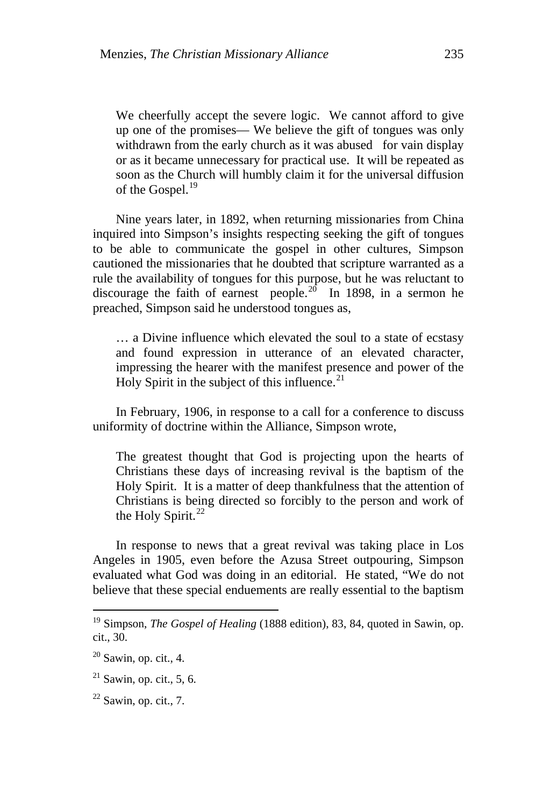We cheerfully accept the severe logic. We cannot afford to give up one of the promises— We believe the gift of tongues was only withdrawn from the early church as it was abused for vain display or as it became unnecessary for practical use. It will be repeated as soon as the Church will humbly claim it for the universal diffusion of the Gospel.<sup>[19](#page-9-0)</sup>

Nine years later, in 1892, when returning missionaries from China inquired into Simpson's insights respecting seeking the gift of tongues to be able to communicate the gospel in other cultures, Simpson cautioned the missionaries that he doubted that scripture warranted as a rule the availability of tongues for this purpose, but he was reluctant to discourage the faith of earnest people.<sup>[20](#page-9-1)</sup> In 1898, in a sermon he preached, Simpson said he understood tongues as,

… a Divine influence which elevated the soul to a state of ecstasy and found expression in utterance of an elevated character, impressing the hearer with the manifest presence and power of the Holy Spirit in the subject of this influence.<sup>[21](#page-9-2)</sup>

In February, 1906, in response to a call for a conference to discuss uniformity of doctrine within the Alliance, Simpson wrote,

The greatest thought that God is projecting upon the hearts of Christians these days of increasing revival is the baptism of the Holy Spirit. It is a matter of deep thankfulness that the attention of Christians is being directed so forcibly to the person and work of the Holy Spirit. $^{22}$  $^{22}$  $^{22}$ 

In response to news that a great revival was taking place in Los Angeles in 1905, even before the Azusa Street outpouring, Simpson evaluated what God was doing in an editorial. He stated, "We do not believe that these special enduements are really essential to the baptism

<span id="page-9-0"></span><sup>&</sup>lt;sup>19</sup> Simpson, *The Gospel of Healing* (1888 edition), 83, 84, quoted in Sawin, op. cit., 30.

<span id="page-9-1"></span> $20$  Sawin, op. cit., 4.

<span id="page-9-2"></span> $21$  Sawin, op. cit., 5, 6.

<span id="page-9-3"></span> $22$  Sawin, op. cit., 7.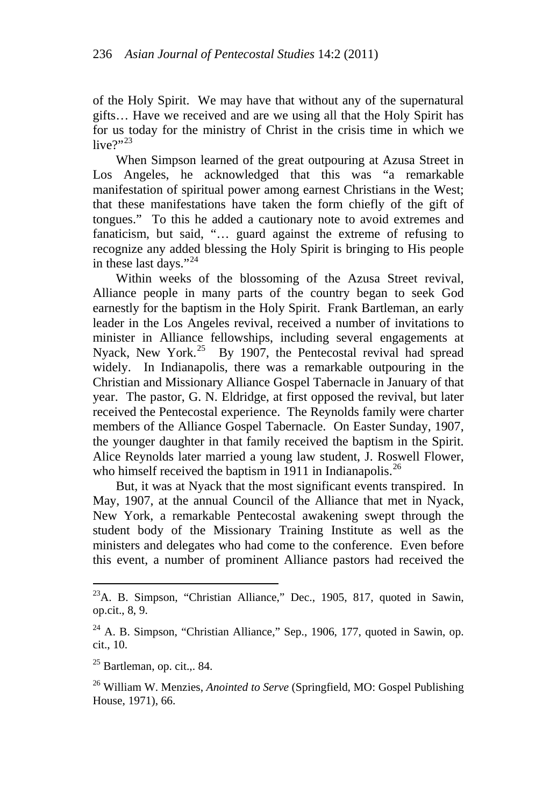of the Holy Spirit. We may have that without any of the supernatural gifts… Have we received and are we using all that the Holy Spirit has for us today for the ministry of Christ in the crisis time in which we live?" $23$ 

When Simpson learned of the great outpouring at Azusa Street in Los Angeles, he acknowledged that this was "a remarkable manifestation of spiritual power among earnest Christians in the West; that these manifestations have taken the form chiefly of the gift of tongues." To this he added a cautionary note to avoid extremes and fanaticism, but said, "… guard against the extreme of refusing to recognize any added blessing the Holy Spirit is bringing to His people in these last days."<sup>[24](#page-10-1)</sup>

Within weeks of the blossoming of the Azusa Street revival, Alliance people in many parts of the country began to seek God earnestly for the baptism in the Holy Spirit. Frank Bartleman, an early leader in the Los Angeles revival, received a number of invitations to minister in Alliance fellowships, including several engagements at Nyack, New York.<sup>[25](#page-10-2)</sup> By 1907, the Pentecostal revival had spread widely. In Indianapolis, there was a remarkable outpouring in the Christian and Missionary Alliance Gospel Tabernacle in January of that year. The pastor, G. N. Eldridge, at first opposed the revival, but later received the Pentecostal experience. The Reynolds family were charter members of the Alliance Gospel Tabernacle. On Easter Sunday, 1907, the younger daughter in that family received the baptism in the Spirit. Alice Reynolds later married a young law student, J. Roswell Flower, who himself received the baptism in 1911 in Indianapolis.<sup>[26](#page-10-3)</sup>

But, it was at Nyack that the most significant events transpired. In May, 1907, at the annual Council of the Alliance that met in Nyack, New York, a remarkable Pentecostal awakening swept through the student body of the Missionary Training Institute as well as the ministers and delegates who had come to the conference. Even before this event, a number of prominent Alliance pastors had received the

<span id="page-10-0"></span> $^{23}$ A. B. Simpson, "Christian Alliance," Dec., 1905, 817, quoted in Sawin, op.cit., 8, 9.

<span id="page-10-1"></span> $^{24}$  A. B. Simpson, "Christian Alliance," Sep., 1906, 177, quoted in Sawin, op. cit., 10.

<span id="page-10-2"></span> $25$  Bartleman, op. cit., 84.

<span id="page-10-3"></span><sup>26</sup> William W. Menzies, *Anointed to Serve* (Springfield, MO: Gospel Publishing House, 1971), 66.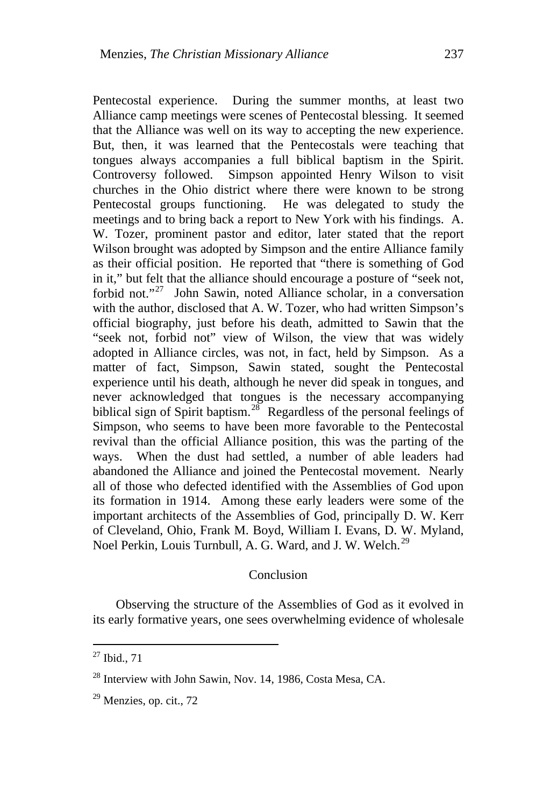Pentecostal experience. During the summer months, at least two Alliance camp meetings were scenes of Pentecostal blessing. It seemed that the Alliance was well on its way to accepting the new experience. But, then, it was learned that the Pentecostals were teaching that tongues always accompanies a full biblical baptism in the Spirit. Controversy followed. Simpson appointed Henry Wilson to visit churches in the Ohio district where there were known to be strong Pentecostal groups functioning. He was delegated to study the meetings and to bring back a report to New York with his findings. A. W. Tozer, prominent pastor and editor, later stated that the report Wilson brought was adopted by Simpson and the entire Alliance family as their official position. He reported that "there is something of God in it," but felt that the alliance should encourage a posture of "seek not, forbid not."<sup>[27](#page-11-0)</sup> John Sawin, noted Alliance scholar, in a conversation with the author, disclosed that A. W. Tozer, who had written Simpson's official biography, just before his death, admitted to Sawin that the "seek not, forbid not" view of Wilson, the view that was widely adopted in Alliance circles, was not, in fact, held by Simpson. As a matter of fact, Simpson, Sawin stated, sought the Pentecostal experience until his death, although he never did speak in tongues, and never acknowledged that tongues is the necessary accompanying biblical sign of Spirit baptism.<sup>[28](#page-11-1)</sup> Regardless of the personal feelings of Simpson, who seems to have been more favorable to the Pentecostal revival than the official Alliance position, this was the parting of the ways. When the dust had settled, a number of able leaders had abandoned the Alliance and joined the Pentecostal movement. Nearly all of those who defected identified with the Assemblies of God upon its formation in 1914. Among these early leaders were some of the important architects of the Assemblies of God, principally D. W. Kerr of Cleveland, Ohio, Frank M. Boyd, William I. Evans, D. W. Myland, Noel Perkin, Louis Turnbull, A. G. Ward, and J. W. Welch.<sup>[29](#page-11-2)</sup>

#### Conclusion

Observing the structure of the Assemblies of God as it evolved in its early formative years, one sees overwhelming evidence of wholesale

<span id="page-11-0"></span> $^{27}$  Ibid., 71

<span id="page-11-1"></span> $^{28}$  Interview with John Sawin, Nov. 14, 1986, Costa Mesa, CA.

<span id="page-11-2"></span> $29$  Menzies, op. cit., 72